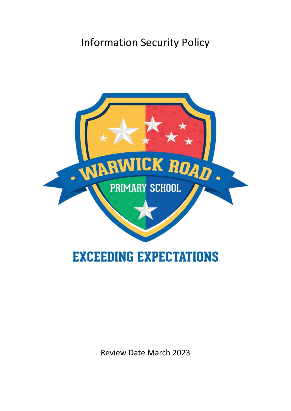# Information Security Policy



Review Date March 2023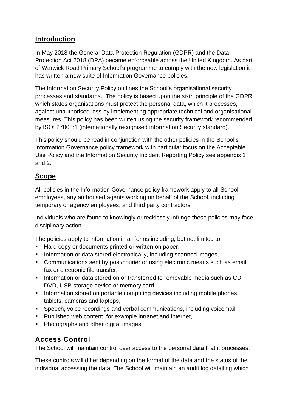# **Introduction**

In May 2018 the General Data Protection Regulation (GDPR) and the Data Protection Act 2018 (DPA) became enforceable across the United Kingdom. As part of Warwick Road Primary School's programme to comply with the new legislation it has written a new suite of Information Governance policies.

The Information Security Policy outlines the School's organisational security processes and standards. The policy is based upon the sixth principle of the GDPR which states organisations must protect the personal data, which it processes, against unauthorised loss by implementing appropriate technical and organisational measures. This policy has been written using the security framework recommended by ISO: 27000:1 (internationally recognised information Security standard).

This policy should be read in conjunction with the other policies in the School's Information Governance policy framework with particular focus on the Acceptable Use Policy and the Information Security Incident Reporting Policy see appendix 1 and 2.

# **Scope**

All policies in the Information Governance policy framework apply to all School employees, any authorised agents working on behalf of the School, including temporary or agency employees, and third party contractors.

Individuals who are found to knowingly or recklessly infringe these policies may face disciplinary action.

The policies apply to information in all forms including, but not limited to:

- Hard copy or documents printed or written on paper,
- **Information or data stored electronically, including scanned images,**
- Communications sent by post/courier or using electronic means such as email, fax or electronic file transfer,
- Information or data stored on or transferred to removable media such as CD, DVD, USB storage device or memory card,
- **Information stored on portable computing devices including mobile phones,** tablets, cameras and laptops,
- Speech, voice recordings and verbal communications, including voicemail,
- **Published web content, for example intranet and internet,**
- Photographs and other digital images.

# **Access Control**

The School will maintain control over access to the personal data that it processes.

These controls will differ depending on the format of the data and the status of the individual accessing the data. The School will maintain an audit log detailing which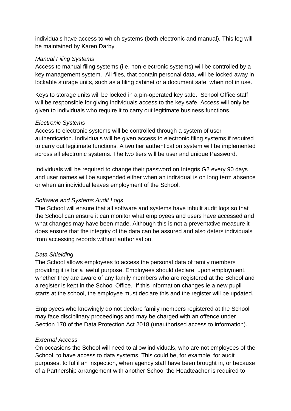individuals have access to which systems (both electronic and manual). This log will be maintained by Karen Darby

#### *Manual Filing Systems*

Access to manual filing systems (i.e. non-electronic systems) will be controlled by a key management system. All files, that contain personal data, will be locked away in lockable storage units, such as a filing cabinet or a document safe, when not in use.

Keys to storage units will be locked in a pin-operated key safe. School Office staff will be responsible for giving individuals access to the key safe. Access will only be given to individuals who require it to carry out legitimate business functions.

#### *Electronic Systems*

Access to electronic systems will be controlled through a system of user authentication. Individuals will be given access to electronic filing systems if required to carry out legitimate functions. A two tier authentication system will be implemented across all electronic systems. The two tiers will be user and unique Password.

Individuals will be required to change their password on Integris G2 every 90 days and user names will be suspended either when an individual is on long term absence or when an individual leaves employment of the School.

#### *Software and Systems Audit Logs*

The School will ensure that all software and systems have inbuilt audit logs so that the School can ensure it can monitor what employees and users have accessed and what changes may have been made. Although this is not a preventative measure it does ensure that the integrity of the data can be assured and also deters individuals from accessing records without authorisation.

#### *Data Shielding*

The School allows employees to access the personal data of family members providing it is for a lawful purpose. Employees should declare, upon employment, whether they are aware of any family members who are registered at the School and a register is kept in the School Office. If this information changes ie a new pupil starts at the school, the employee must declare this and the register will be updated.

Employees who knowingly do not declare family members registered at the School may face disciplinary proceedings and may be charged with an offence under Section 170 of the Data Protection Act 2018 (unauthorised access to information).

#### *External Access*

On occasions the School will need to allow individuals, who are not employees of the School, to have access to data systems. This could be, for example, for audit purposes, to fulfil an inspection, when agency staff have been brought in, or because of a Partnership arrangement with another School the Headteacher is required to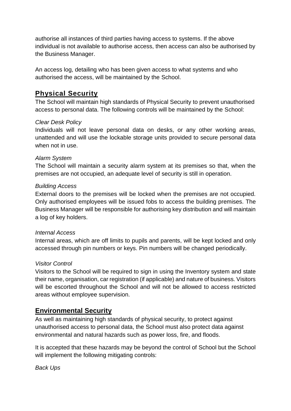authorise all instances of third parties having access to systems. If the above individual is not available to authorise access, then access can also be authorised by the Business Manager.

An access log, detailing who has been given access to what systems and who authorised the access, will be maintained by the School.

# **Physical Security**

The School will maintain high standards of Physical Security to prevent unauthorised access to personal data. The following controls will be maintained by the School:

#### *Clear Desk Policy*

Individuals will not leave personal data on desks, or any other working areas, unattended and will use the lockable storage units provided to secure personal data when not in use.

#### *Alarm System*

The School will maintain a security alarm system at its premises so that, when the premises are not occupied, an adequate level of security is still in operation.

#### *Building Access*

External doors to the premises will be locked when the premises are not occupied. Only authorised employees will be issued fobs to access the building premises. The Business Manager will be responsible for authorising key distribution and will maintain a log of key holders.

#### *Internal Access*

Internal areas, which are off limits to pupils and parents, will be kept locked and only accessed through pin numbers or keys. Pin numbers will be changed periodically.

#### *Visitor Control*

Visitors to the School will be required to sign in using the Inventory system and state their name, organisation, car registration (if applicable) and nature of business. Visitors will be escorted throughout the School and will not be allowed to access restricted areas without employee supervision.

## **Environmental Security**

As well as maintaining high standards of physical security, to protect against unauthorised access to personal data, the School must also protect data against environmental and natural hazards such as power loss, fire, and floods.

It is accepted that these hazards may be beyond the control of School but the School will implement the following mitigating controls:

*Back Ups*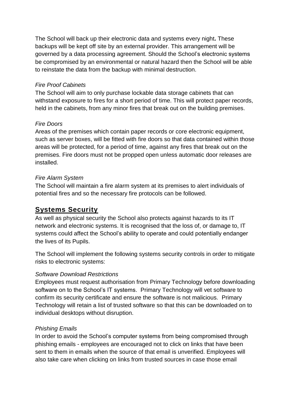The School will back up their electronic data and systems every night**.** These backups will be kept off site by an external provider. This arrangement will be governed by a data processing agreement. Should the School's electronic systems be compromised by an environmental or natural hazard then the School will be able to reinstate the data from the backup with minimal destruction.

#### *Fire Proof Cabinets*

The School will aim to only purchase lockable data storage cabinets that can withstand exposure to fires for a short period of time. This will protect paper records, held in the cabinets, from any minor fires that break out on the building premises.

## *Fire Doors*

Areas of the premises which contain paper records or core electronic equipment, such as server boxes, will be fitted with fire doors so that data contained within those areas will be protected, for a period of time, against any fires that break out on the premises. Fire doors must not be propped open unless automatic door releases are installed.

## *Fire Alarm System*

The School will maintain a fire alarm system at its premises to alert individuals of potential fires and so the necessary fire protocols can be followed.

# **Systems Security**

As well as physical security the School also protects against hazards to its IT network and electronic systems. It is recognised that the loss of, or damage to, IT systems could affect the School's ability to operate and could potentially endanger the lives of its Pupils.

The School will implement the following systems security controls in order to mitigate risks to electronic systems:

#### *Software Download Restrictions*

Employees must request authorisation from Primary Technology before downloading software on to the School's IT systems. Primary Technology will vet software to confirm its security certificate and ensure the software is not malicious. Primary Technology will retain a list of trusted software so that this can be downloaded on to individual desktops without disruption.

#### *Phishing Emails*

In order to avoid the School's computer systems from being compromised through phishing emails - employees are encouraged not to click on links that have been sent to them in emails when the source of that email is unverified. Employees will also take care when clicking on links from trusted sources in case those email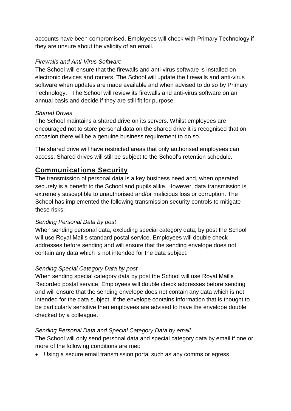accounts have been compromised. Employees will check with Primary Technology if they are unsure about the validity of an email.

#### *Firewalls and Anti-Virus Software*

The School will ensure that the firewalls and anti-virus software is installed on electronic devices and routers. The School will update the firewalls and anti-virus software when updates are made available and when advised to do so by Primary Technology. The School will review its firewalls and anti-virus software on an annual basis and decide if they are still fit for purpose.

#### *Shared Drives*

The School maintains a shared drive on its servers. Whilst employees are encouraged not to store personal data on the shared drive it is recognised that on occasion there will be a genuine business requirement to do so.

The shared drive will have restricted areas that only authorised employees can access. Shared drives will still be subject to the School's retention schedule.

# **Communications Security**

The transmission of personal data is a key business need and, when operated securely is a benefit to the School and pupils alike. However, data transmission is extremely susceptible to unauthorised and/or malicious loss or corruption. The School has implemented the following transmission security controls to mitigate these risks:

## *Sending Personal Data by post*

When sending personal data, excluding special category data, by post the School will use Royal Mail's standard postal service. Employees will double check addresses before sending and will ensure that the sending envelope does not contain any data which is not intended for the data subject.

## *Sending Special Category Data by post*

When sending special category data by post the School will use Royal Mail's Recorded postal service. Employees will double check addresses before sending and will ensure that the sending envelope does not contain any data which is not intended for the data subject. If the envelope contains information that is thought to be particularly sensitive then employees are advised to have the envelope double checked by a colleague.

#### *Sending Personal Data and Special Category Data by email*

The School will only send personal data and special category data by email if one or more of the following conditions are met:

Using a secure email transmission portal such as any comms or egress.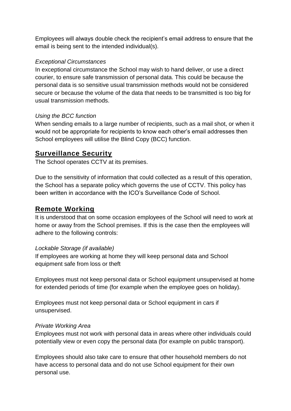Employees will always double check the recipient's email address to ensure that the email is being sent to the intended individual(s).

#### *Exceptional Circumstances*

In exceptional circumstance the School may wish to hand deliver, or use a direct courier, to ensure safe transmission of personal data. This could be because the personal data is so sensitive usual transmission methods would not be considered secure or because the volume of the data that needs to be transmitted is too big for usual transmission methods.

## *Using the BCC function*

When sending emails to a large number of recipients, such as a mail shot, or when it would not be appropriate for recipients to know each other's email addresses then School employees will utilise the Blind Copy (BCC) function.

# **Surveillance Security**

The School operates CCTV at its premises.

Due to the sensitivity of information that could collected as a result of this operation, the School has a separate policy which governs the use of CCTV. This policy has been written in accordance with the ICO's Surveillance Code of School.

# **Remote Working**

It is understood that on some occasion employees of the School will need to work at home or away from the School premises. If this is the case then the employees will adhere to the following controls:

## *Lockable Storage (if available)*

If employees are working at home they will keep personal data and School equipment safe from loss or theft

Employees must not keep personal data or School equipment unsupervised at home for extended periods of time (for example when the employee goes on holiday).

Employees must not keep personal data or School equipment in cars if unsupervised.

## *Private Working Area*

Employees must not work with personal data in areas where other individuals could potentially view or even copy the personal data (for example on public transport).

Employees should also take care to ensure that other household members do not have access to personal data and do not use School equipment for their own personal use.